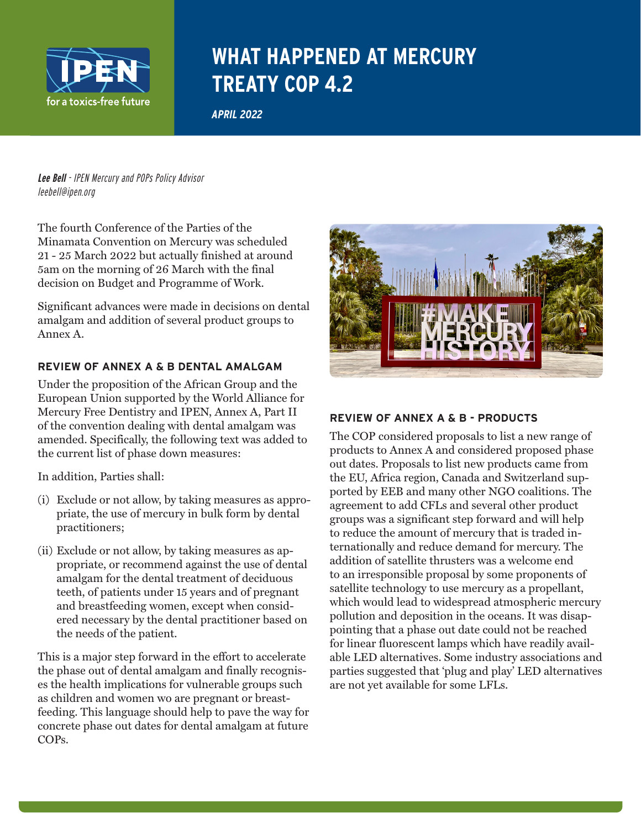

# **WHAT HAPPENED AT MERCURY TREATY COP 4.2**

*APRIL 2022*

**Lee Bell** - IPEN Mercury and POPs Policy Advisor leebell@ipen.org

The fourth Conference of the Parties of the Minamata Convention on Mercury was scheduled 21 - 25 March 2022 but actually finished at around 5am on the morning of 26 March with the final decision on Budget and Programme of Work.

Significant advances were made in decisions on dental amalgam and addition of several product groups to Annex A.

# **REVIEW OF ANNEX A & B DENTAL AMALGAM**

Under the proposition of the African Group and the European Union supported by the World Alliance for Mercury Free Dentistry and IPEN, Annex A, Part II of the convention dealing with dental amalgam was amended. Specifically, the following text was added to the current list of phase down measures:

In addition, Parties shall:

- (i) Exclude or not allow, by taking measures as appropriate, the use of mercury in bulk form by dental practitioners;
- (ii) Exclude or not allow, by taking measures as appropriate, or recommend against the use of dental amalgam for the dental treatment of deciduous teeth, of patients under 15 years and of pregnant and breastfeeding women, except when considered necessary by the dental practitioner based on the needs of the patient.

This is a major step forward in the effort to accelerate the phase out of dental amalgam and finally recognises the health implications for vulnerable groups such as children and women wo are pregnant or breastfeeding. This language should help to pave the way for concrete phase out dates for dental amalgam at future COPs.



#### **REVIEW OF ANNEX A & B - PRODUCTS**

The COP considered proposals to list a new range of products to Annex A and considered proposed phase out dates. Proposals to list new products came from the EU, Africa region, Canada and Switzerland supported by EEB and many other NGO coalitions. The agreement to add CFLs and several other product groups was a significant step forward and will help to reduce the amount of mercury that is traded internationally and reduce demand for mercury. The addition of satellite thrusters was a welcome end to an irresponsible proposal by some proponents of satellite technology to use mercury as a propellant, which would lead to widespread atmospheric mercury pollution and deposition in the oceans. It was disappointing that a phase out date could not be reached for linear fluorescent lamps which have readily available LED alternatives. Some industry associations and parties suggested that 'plug and play' LED alternatives are not yet available for some LFLs.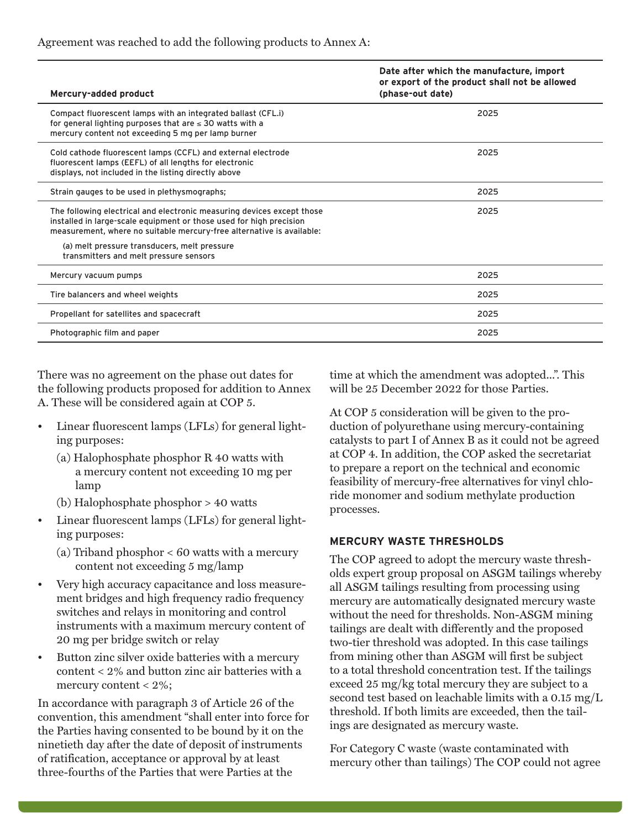| Mercury-added product                                                                                                                                                                                                  | Date after which the manufacture, import<br>or export of the product shall not be allowed<br>(phase-out date) |
|------------------------------------------------------------------------------------------------------------------------------------------------------------------------------------------------------------------------|---------------------------------------------------------------------------------------------------------------|
| Compact fluorescent lamps with an integrated ballast (CFL.i)<br>for general lighting purposes that are $\leq$ 30 watts with a<br>mercury content not exceeding 5 mg per lamp burner                                    | 2025                                                                                                          |
| Cold cathode fluorescent lamps (CCFL) and external electrode<br>fluorescent lamps (EEFL) of all lengths for electronic<br>displays, not included in the listing directly above                                         | 2025                                                                                                          |
| Strain gauges to be used in plethysmographs;                                                                                                                                                                           | 2025                                                                                                          |
| The following electrical and electronic measuring devices except those<br>installed in large-scale equipment or those used for high precision<br>measurement, where no suitable mercury-free alternative is available: | 2025                                                                                                          |
| (a) melt pressure transducers, melt pressure<br>transmitters and melt pressure sensors                                                                                                                                 |                                                                                                               |
| Mercury vacuum pumps                                                                                                                                                                                                   | 2025                                                                                                          |
| Tire balancers and wheel weights                                                                                                                                                                                       | 2025                                                                                                          |
| Propellant for satellites and spacecraft                                                                                                                                                                               | 2025                                                                                                          |
| Photographic film and paper                                                                                                                                                                                            | 2025                                                                                                          |

Agreement was reached to add the following products to Annex A:

There was no agreement on the phase out dates for the following products proposed for addition to Annex A. These will be considered again at COP 5.

- Linear fluorescent lamps (LFLs) for general lighting purposes:
	- (a) Halophosphate phosphor  $R$  40 watts with a mercury content not exceeding 10 mg per lamp
	- (b) Halophosphate phosphor > 40 watts
- Linear fluorescent lamps (LFLs) for general lighting purposes:
	- (a) Triband phosphor < 60 watts with a mercury content not exceeding 5 mg/lamp
- Very high accuracy capacitance and loss measurement bridges and high frequency radio frequency switches and relays in monitoring and control instruments with a maximum mercury content of 20 mg per bridge switch or relay
- Button zinc silver oxide batteries with a mercury content < 2% and button zinc air batteries with a mercury content < 2%;

In accordance with paragraph 3 of Article 26 of the convention, this amendment "shall enter into force for the Parties having consented to be bound by it on the ninetieth day after the date of deposit of instruments of ratification, acceptance or approval by at least three-fourths of the Parties that were Parties at the

time at which the amendment was adopted...". This will be 25 December 2022 for those Parties.

At COP 5 consideration will be given to the production of polyurethane using mercury-containing catalysts to part I of Annex B as it could not be agreed at COP 4. In addition, the COP asked the secretariat to prepare a report on the technical and economic feasibility of mercury-free alternatives for vinyl chloride monomer and sodium methylate production processes.

#### **MERCURY WASTE THRESHOLDS**

The COP agreed to adopt the mercury waste thresholds expert group proposal on ASGM tailings whereby all ASGM tailings resulting from processing using mercury are automatically designated mercury waste without the need for thresholds. Non-ASGM mining tailings are dealt with differently and the proposed two-tier threshold was adopted. In this case tailings from mining other than ASGM will first be subject to a total threshold concentration test. If the tailings exceed 25 mg/kg total mercury they are subject to a second test based on leachable limits with a 0.15 mg/L threshold. If both limits are exceeded, then the tailings are designated as mercury waste.

For Category C waste (waste contaminated with mercury other than tailings) The COP could not agree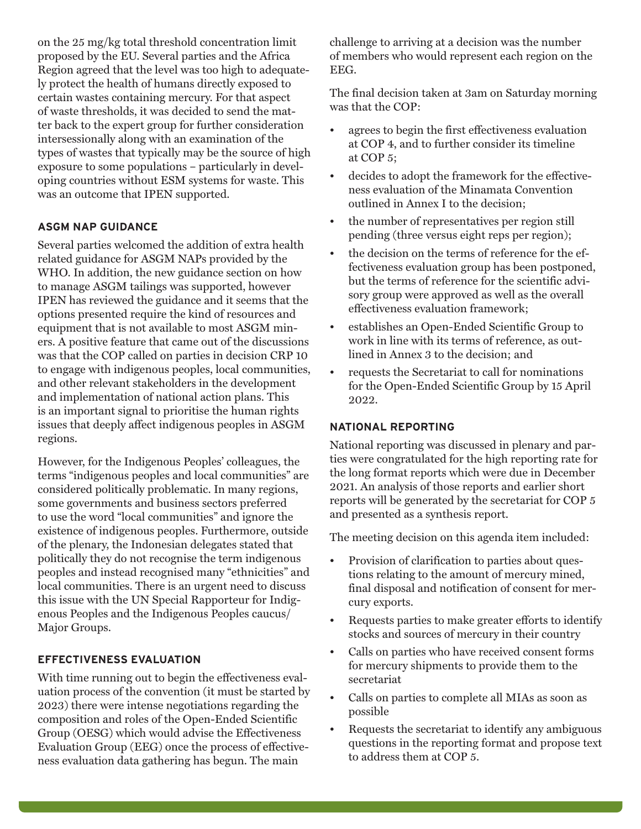on the 25 mg/kg total threshold concentration limit proposed by the EU. Several parties and the Africa Region agreed that the level was too high to adequately protect the health of humans directly exposed to certain wastes containing mercury. For that aspect of waste thresholds, it was decided to send the matter back to the expert group for further consideration intersessionally along with an examination of the types of wastes that typically may be the source of high exposure to some populations – particularly in developing countries without ESM systems for waste. This was an outcome that IPEN supported.

# **ASGM NAP GUIDANCE**

Several parties welcomed the addition of extra health related guidance for ASGM NAPs provided by the WHO. In addition, the new guidance section on how to manage ASGM tailings was supported, however IPEN has reviewed the guidance and it seems that the options presented require the kind of resources and equipment that is not available to most ASGM miners. A positive feature that came out of the discussions was that the COP called on parties in decision CRP 10 to engage with indigenous peoples, local communities, and other relevant stakeholders in the development and implementation of national action plans. This is an important signal to prioritise the human rights issues that deeply affect indigenous peoples in ASGM regions.

However, for the Indigenous Peoples' colleagues, the terms "indigenous peoples and local communities" are considered politically problematic. In many regions, some governments and business sectors preferred to use the word "local communities" and ignore the existence of indigenous peoples. Furthermore, outside of the plenary, the Indonesian delegates stated that politically they do not recognise the term indigenous peoples and instead recognised many "ethnicities" and local communities. There is an urgent need to discuss this issue with the UN Special Rapporteur for Indigenous Peoples and the Indigenous Peoples caucus/ Major Groups.

# **EFFECTIVENESS EVALUATION**

With time running out to begin the effectiveness evaluation process of the convention (it must be started by 2023) there were intense negotiations regarding the composition and roles of the Open-Ended Scientific Group (OESG) which would advise the Effectiveness Evaluation Group (EEG) once the process of effectiveness evaluation data gathering has begun. The main

challenge to arriving at a decision was the number of members who would represent each region on the EEG.

The final decision taken at 3am on Saturday morning was that the COP:

- agrees to begin the first effectiveness evaluation at COP 4, and to further consider its timeline at COP 5;
- decides to adopt the framework for the effectiveness evaluation of the Minamata Convention outlined in Annex I to the decision;
- the number of representatives per region still pending (three versus eight reps per region);
- the decision on the terms of reference for the effectiveness evaluation group has been postponed, but the terms of reference for the scientific advisory group were approved as well as the overall effectiveness evaluation framework;
- establishes an Open-Ended Scientific Group to work in line with its terms of reference, as outlined in Annex 3 to the decision; and
- requests the Secretariat to call for nominations for the Open-Ended Scientific Group by 15 April 2022.

# **NATIONAL REPORTING**

National reporting was discussed in plenary and parties were congratulated for the high reporting rate for the long format reports which were due in December 2021. An analysis of those reports and earlier short reports will be generated by the secretariat for COP 5 and presented as a synthesis report.

The meeting decision on this agenda item included:

- Provision of clarification to parties about questions relating to the amount of mercury mined, final disposal and notification of consent for mercury exports.
- Requests parties to make greater efforts to identify stocks and sources of mercury in their country
- Calls on parties who have received consent forms for mercury shipments to provide them to the secretariat
- Calls on parties to complete all MIAs as soon as possible
- Requests the secretariat to identify any ambiguous questions in the reporting format and propose text to address them at COP 5.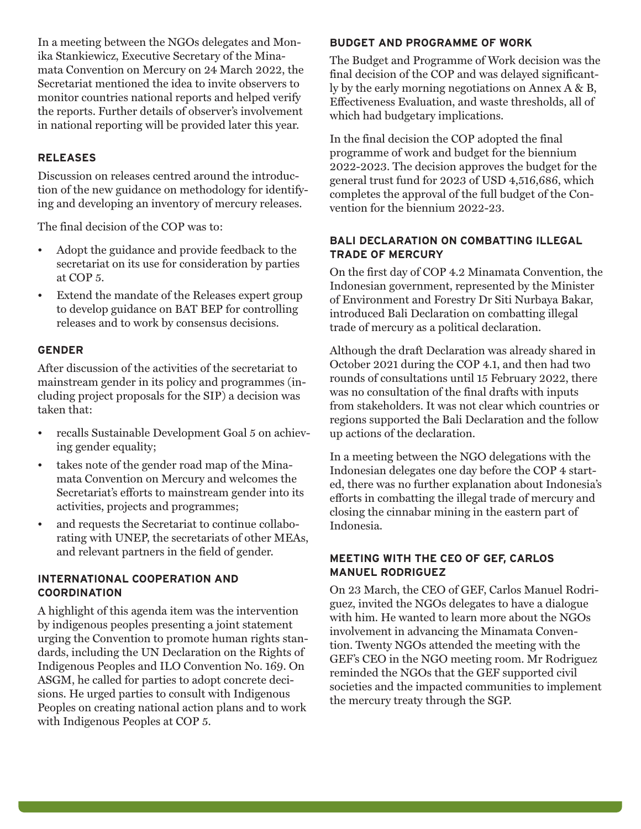In a meeting between the NGOs delegates and Monika Stankiewicz, Executive Secretary of the Minamata Convention on Mercury on 24 March 2022, the Secretariat mentioned the idea to invite observers to monitor countries national reports and helped verify the reports. Further details of observer's involvement in national reporting will be provided later this year.

# **RELEASES**

Discussion on releases centred around the introduction of the new guidance on methodology for identifying and developing an inventory of mercury releases.

The final decision of the COP was to:

- Adopt the guidance and provide feedback to the secretariat on its use for consideration by parties at COP 5.
- Extend the mandate of the Releases expert group to develop guidance on BAT BEP for controlling releases and to work by consensus decisions.

# **GENDER**

After discussion of the activities of the secretariat to mainstream gender in its policy and programmes (including project proposals for the SIP) a decision was taken that:

- recalls Sustainable Development Goal 5 on achieving gender equality;
- takes note of the gender road map of the Minamata Convention on Mercury and welcomes the Secretariat's efforts to mainstream gender into its activities, projects and programmes;
- and requests the Secretariat to continue collaborating with UNEP, the secretariats of other MEAs, and relevant partners in the field of gender.

#### **INTERNATIONAL COOPERATION AND COORDINATION**

A highlight of this agenda item was the intervention by indigenous peoples presenting a joint statement urging the Convention to promote human rights standards, including the UN Declaration on the Rights of Indigenous Peoples and ILO Convention No. 169. On ASGM, he called for parties to adopt concrete decisions. He urged parties to consult with Indigenous Peoples on creating national action plans and to work with Indigenous Peoples at COP 5.

#### **BUDGET AND PROGRAMME OF WORK**

The Budget and Programme of Work decision was the final decision of the COP and was delayed significantly by the early morning negotiations on Annex A & B, Effectiveness Evaluation, and waste thresholds, all of which had budgetary implications.

In the final decision the COP adopted the final programme of work and budget for the biennium 2022-2023. The decision approves the budget for the general trust fund for 2023 of USD 4,516,686, which completes the approval of the full budget of the Convention for the biennium 2022-23.

#### **BALI DECLARATION ON COMBATTING ILLEGAL TRADE OF MERCURY**

On the first day of COP 4.2 Minamata Convention, the Indonesian government, represented by the Minister of Environment and Forestry Dr Siti Nurbaya Bakar, introduced Bali Declaration on combatting illegal trade of mercury as a political declaration.

Although the draft Declaration was already shared in October 2021 during the COP 4.1, and then had two rounds of consultations until 15 February 2022, there was no consultation of the final drafts with inputs from stakeholders. It was not clear which countries or regions supported the Bali Declaration and the follow up actions of the declaration.

In a meeting between the NGO delegations with the Indonesian delegates one day before the COP 4 started, there was no further explanation about Indonesia's efforts in combatting the illegal trade of mercury and closing the cinnabar mining in the eastern part of Indonesia.

# **MEETING WITH THE CEO OF GEF, CARLOS MANUEL RODRIGUEZ**

On 23 March, the CEO of GEF, Carlos Manuel Rodriguez, invited the NGOs delegates to have a dialogue with him. He wanted to learn more about the NGOs involvement in advancing the Minamata Convention. Twenty NGOs attended the meeting with the GEF's CEO in the NGO meeting room. Mr Rodriguez reminded the NGOs that the GEF supported civil societies and the impacted communities to implement the mercury treaty through the SGP.